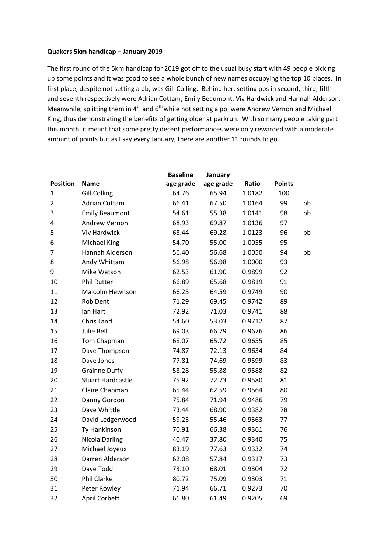## **Quakers 5km handicap – January 2019**

The first round of the 5km handicap for 2019 got off to the usual busy start with 49 people picking up some points and it was good to see a whole bunch of new names occupying the top 10 places. In first place, despite not setting a pb, was Gill Colling. Behind her, setting pbs in second, third, fifth and seventh respectively were Adrian Cottam, Emily Beaumont, Viv Hardwick and Hannah Alderson. Meanwhile, splitting them in  $4<sup>th</sup>$  and  $6<sup>th</sup>$  while not setting a pb, were Andrew Vernon and Michael King, thus demonstrating the benefits of getting older at parkrun. With so many people taking part this month, it meant that some pretty decent performances were only rewarded with a moderate amount of points but as I say every January, there are another 11 rounds to go.

|                 |                          | <b>Baseline</b> | January   |        |               |    |
|-----------------|--------------------------|-----------------|-----------|--------|---------------|----|
| <b>Position</b> | <b>Name</b>              | age grade       | age grade | Ratio  | <b>Points</b> |    |
| 1               | <b>Gill Colling</b>      | 64.76           | 65.94     | 1.0182 | 100           |    |
| $\overline{2}$  | Adrian Cottam            | 66.41           | 67.50     | 1.0164 | 99            | pb |
| 3               | <b>Emily Beaumont</b>    | 54.61           | 55.38     | 1.0141 | 98            | pb |
| 4               | Andrew Vernon            | 68.93           | 69.87     | 1.0136 | 97            |    |
| 5               | Viv Hardwick             | 68.44           | 69.28     | 1.0123 | 96            | pb |
| 6               | Michael King             | 54.70           | 55.00     | 1.0055 | 95            |    |
| 7               | Hannah Alderson          | 56.40           | 56.68     | 1.0050 | 94            | pb |
| 8               | Andy Whittam             | 56.98           | 56.98     | 1.0000 | 93            |    |
| 9               | Mike Watson              | 62.53           | 61.90     | 0.9899 | 92            |    |
| 10              | <b>Phil Rutter</b>       | 66.89           | 65.68     | 0.9819 | 91            |    |
| 11              | Malcolm Hewitson         | 66.25           | 64.59     | 0.9749 | 90            |    |
| 12              | Rob Dent                 | 71.29           | 69.45     | 0.9742 | 89            |    |
| 13              | lan Hart                 | 72.92           | 71.03     | 0.9741 | 88            |    |
| 14              | Chris Land               | 54.60           | 53.03     | 0.9712 | 87            |    |
| 15              | Julie Bell               | 69.03           | 66.79     | 0.9676 | 86            |    |
| 16              | Tom Chapman              | 68.07           | 65.72     | 0.9655 | 85            |    |
| 17              | Dave Thompson            | 74.87           | 72.13     | 0.9634 | 84            |    |
| 18              | Dave Jones               | 77.81           | 74.69     | 0.9599 | 83            |    |
| 19              | <b>Grainne Duffy</b>     | 58.28           | 55.88     | 0.9588 | 82            |    |
| 20              | <b>Stuart Hardcastle</b> | 75.92           | 72.73     | 0.9580 | 81            |    |
| 21              | Claire Chapman           | 65.44           | 62.59     | 0.9564 | 80            |    |
| 22              | Danny Gordon             | 75.84           | 71.94     | 0.9486 | 79            |    |
| 23              | Dave Whittle             | 73.44           | 68.90     | 0.9382 | 78            |    |
| 24              | David Ledgerwood         | 59.23           | 55.46     | 0.9363 | 77            |    |
| 25              | Ty Hankinson             | 70.91           | 66.38     | 0.9361 | 76            |    |
| 26              | <b>Nicola Darling</b>    | 40.47           | 37.80     | 0.9340 | 75            |    |
| 27              | Michael Joyeux           | 83.19           | 77.63     | 0.9332 | 74            |    |
| 28              | Darren Alderson          | 62.08           | 57.84     | 0.9317 | 73            |    |
| 29              | Dave Todd                | 73.10           | 68.01     | 0.9304 | 72            |    |
| 30              | Phil Clarke              | 80.72           | 75.09     | 0.9303 | 71            |    |
| 31              | Peter Rowley             | 71.94           | 66.71     | 0.9273 | 70            |    |
| 32              | <b>April Corbett</b>     | 66.80           | 61.49     | 0.9205 | 69            |    |